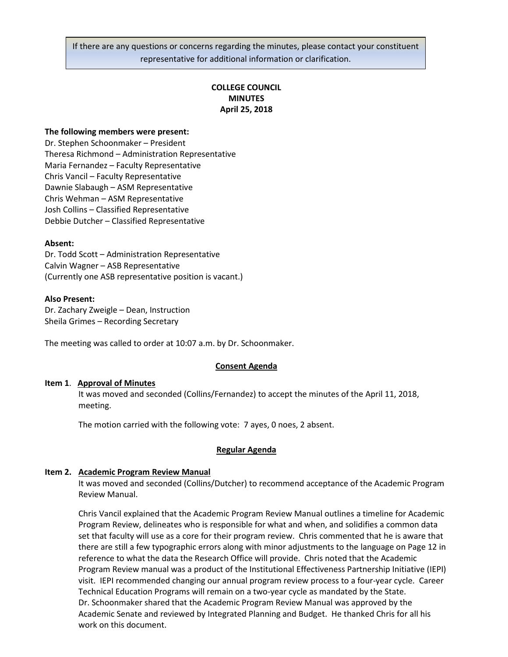If there are any questions or concerns regarding the minutes, please contact your constituent representative for additional information or clarification.

# **COLLEGE COUNCIL MINUTES April 25, 2018**

## **The following members were present:**

Dr. Stephen Schoonmaker – President Theresa Richmond – Administration Representative Maria Fernandez – Faculty Representative Chris Vancil – Faculty Representative Dawnie Slabaugh – ASM Representative Chris Wehman – ASM Representative Josh Collins – Classified Representative Debbie Dutcher – Classified Representative

### **Absent:**

Dr. Todd Scott – Administration Representative Calvin Wagner – ASB Representative (Currently one ASB representative position is vacant.)

### **Also Present:**

Dr. Zachary Zweigle – Dean, Instruction Sheila Grimes – Recording Secretary

The meeting was called to order at 10:07 a.m. by Dr. Schoonmaker.

### **Consent Agenda**

### **Item 1**. **Approval of Minutes**

It was moved and seconded (Collins/Fernandez) to accept the minutes of the April 11, 2018, meeting.

The motion carried with the following vote: 7 ayes, 0 noes, 2 absent.

## **Regular Agenda**

## **Item 2. Academic Program Review Manual**

It was moved and seconded (Collins/Dutcher) to recommend acceptance of the Academic Program Review Manual.

Chris Vancil explained that the Academic Program Review Manual outlines a timeline for Academic Program Review, delineates who is responsible for what and when, and solidifies a common data set that faculty will use as a core for their program review. Chris commented that he is aware that there are still a few typographic errors along with minor adjustments to the language on Page 12 in reference to what the data the Research Office will provide. Chris noted that the Academic Program Review manual was a product of the Institutional Effectiveness Partnership Initiative (IEPI) visit. IEPI recommended changing our annual program review process to a four-year cycle. Career Technical Education Programs will remain on a two-year cycle as mandated by the State. Dr. Schoonmaker shared that the Academic Program Review Manual was approved by the Academic Senate and reviewed by Integrated Planning and Budget. He thanked Chris for all his work on this document.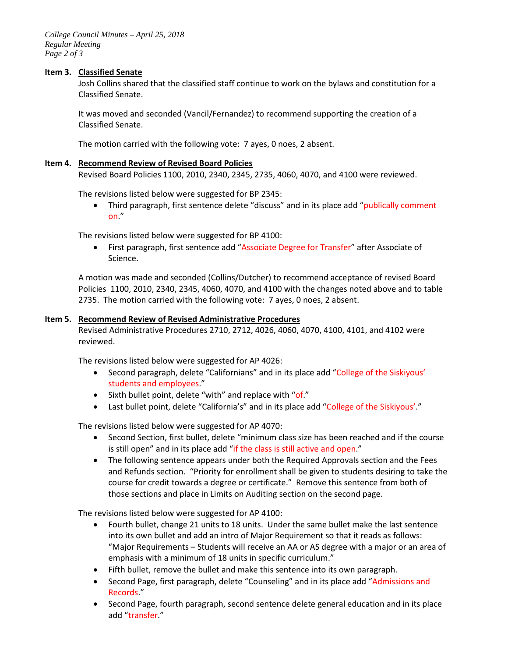*College Council Minutes – April 25, 2018 Regular Meeting Page 2 of 3*

## **Item 3. Classified Senate**

Josh Collins shared that the classified staff continue to work on the bylaws and constitution for a Classified Senate.

It was moved and seconded (Vancil/Fernandez) to recommend supporting the creation of a Classified Senate.

The motion carried with the following vote: 7 ayes, 0 noes, 2 absent.

## **Item 4. Recommend Review of Revised Board Policies**

Revised Board Policies 1100, 2010, 2340, 2345, 2735, 4060, 4070, and 4100 were reviewed.

The revisions listed below were suggested for BP 2345:

• Third paragraph, first sentence delete "discuss" and in its place add "publically comment on."

The revisions listed below were suggested for BP 4100:

• First paragraph, first sentence add "Associate Degree for Transfer" after Associate of Science.

A motion was made and seconded (Collins/Dutcher) to recommend acceptance of revised Board Policies 1100, 2010, 2340, 2345, 4060, 4070, and 4100 with the changes noted above and to table 2735. The motion carried with the following vote: 7 ayes, 0 noes, 2 absent.

## **Item 5. Recommend Review of Revised Administrative Procedures**

Revised Administrative Procedures 2710, 2712, 4026, 4060, 4070, 4100, 4101, and 4102 were reviewed.

The revisions listed below were suggested for AP 4026:

- Second paragraph, delete "Californians" and in its place add "College of the Siskiyous' students and employees."
- Sixth bullet point, delete "with" and replace with "of."
- Last bullet point, delete "California's" and in its place add "College of the Siskiyous'."

The revisions listed below were suggested for AP 4070:

- Second Section, first bullet, delete "minimum class size has been reached and if the course is still open" and in its place add "if the class is still active and open."
- The following sentence appears under both the Required Approvals section and the Fees and Refunds section. "Priority for enrollment shall be given to students desiring to take the course for credit towards a degree or certificate." Remove this sentence from both of those sections and place in Limits on Auditing section on the second page.

The revisions listed below were suggested for AP 4100:

- Fourth bullet, change 21 units to 18 units. Under the same bullet make the last sentence into its own bullet and add an intro of Major Requirement so that it reads as follows: "Major Requirements – Students will receive an AA or AS degree with a major or an area of emphasis with a minimum of 18 units in specific curriculum."
- Fifth bullet, remove the bullet and make this sentence into its own paragraph.
- Second Page, first paragraph, delete "Counseling" and in its place add "Admissions and Records."
- Second Page, fourth paragraph, second sentence delete general education and in its place add "transfer."